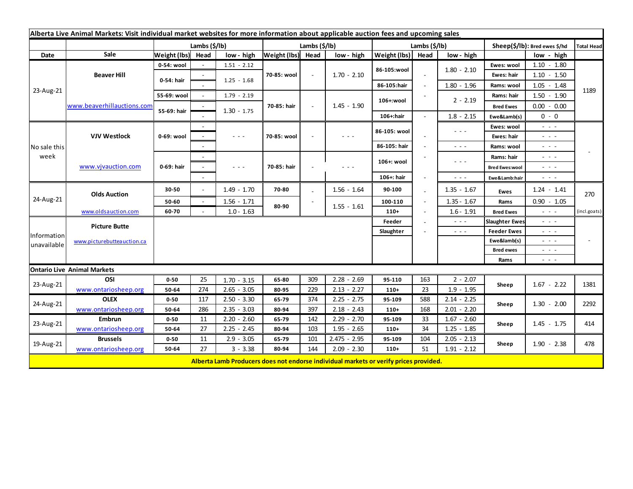| Alberta Live Animal Markets: Visit individual market websites for more information about applicable auction fees and upcoming sales |                            |              |               |                      |                   |                          |                                                                                       |               |                          |                                                                                                                        |                       |                                                                                                                           |                   |
|-------------------------------------------------------------------------------------------------------------------------------------|----------------------------|--------------|---------------|----------------------|-------------------|--------------------------|---------------------------------------------------------------------------------------|---------------|--------------------------|------------------------------------------------------------------------------------------------------------------------|-----------------------|---------------------------------------------------------------------------------------------------------------------------|-------------------|
|                                                                                                                                     |                            |              | Lambs (\$/lb) |                      | Lambs (\$/lb)     |                          |                                                                                       | Lambs (\$/lb) |                          |                                                                                                                        |                       | Sheep(\$/lb): Bred ewes \$/hd                                                                                             | <b>Total Head</b> |
| Date                                                                                                                                | Sale                       | Weight (lbs) | Head          | low - high           | Weight (lbs) Head |                          | low - high                                                                            | Weight (lbs)  | Head                     | low - high                                                                                                             |                       | low - high                                                                                                                |                   |
| 23-Aug-21                                                                                                                           | <b>Beaver Hill</b>         | 0-54: wool   |               | $1.51 - 2.12$        | 70-85: wool       | $\sim$                   | $1.70 - 2.10$                                                                         | 86-105:wool   |                          |                                                                                                                        | Ewes: wool            | $1.10 - 1.80$                                                                                                             |                   |
|                                                                                                                                     |                            | 0-54: hair   |               |                      |                   |                          |                                                                                       |               | $\sim$                   | $1.80 - 2.10$                                                                                                          | Ewes: hair            | $1.10 - 1.50$                                                                                                             |                   |
|                                                                                                                                     |                            |              |               | $1.25 - 1.68$        |                   |                          |                                                                                       | 86-105:hair   | $\overline{\phantom{a}}$ | $1.80 - 1.96$                                                                                                          | Rams: wool            | $1.05 - 1.48$                                                                                                             |                   |
|                                                                                                                                     | www.beaverhillauctions.com | 55-69: wool  | $\sim$        | $1.79 - 2.19$        | 70-85: hair       | $\overline{\phantom{a}}$ | $1.45 - 1.90$                                                                         | 106+:wool     |                          | $2 - 2.19$                                                                                                             | Rams: hair            | $1.50 - 1.90$                                                                                                             | 1189              |
|                                                                                                                                     |                            | 55-69: hair  |               | $1.30 - 1.75$        |                   |                          |                                                                                       |               |                          |                                                                                                                        | <b>Bred Ewes</b>      | $0.00 - 0.00$                                                                                                             |                   |
|                                                                                                                                     |                            |              |               |                      |                   |                          |                                                                                       | 106+:hair     |                          | $1.8 - 2.15$                                                                                                           | Ewe&Lamb(s)           | $0 - 0$                                                                                                                   |                   |
| No sale this<br>week                                                                                                                | <b>VJV Westlock</b>        | 0-69: wool   |               |                      | 70-85: wool       |                          | $  -$                                                                                 | 86-105: wool  |                          | $\frac{1}{2} \left( \frac{1}{2} \right) \frac{1}{2} \left( \frac{1}{2} \right) \frac{1}{2} \left( \frac{1}{2} \right)$ | Ewes: wool            | - - -                                                                                                                     |                   |
|                                                                                                                                     |                            |              |               | $\sim$ $\sim$ $\sim$ |                   |                          |                                                                                       |               |                          |                                                                                                                        | Ewes: hair            | - - -                                                                                                                     |                   |
|                                                                                                                                     |                            |              |               |                      |                   |                          |                                                                                       | 86-105: hair  |                          | $\sim$ $\sim$ $\sim$                                                                                                   | Rams: wool            | $\sim$ 100 $\sim$                                                                                                         |                   |
|                                                                                                                                     | www.vjvauction.com         | 0-69: hair   |               |                      |                   |                          | $\frac{1}{2} \left( \frac{1}{2} + \frac{1}{2} + \frac{1}{2} \right)$                  | 106+: wool    |                          | - - -                                                                                                                  | Rams: hair            | $\frac{1}{2} \left( \frac{1}{2} \right) \left( \frac{1}{2} \right) \left( \frac{1}{2} \right) \left( \frac{1}{2} \right)$ |                   |
|                                                                                                                                     |                            |              |               | $\sim$ $\sim$ $\sim$ | 70-85: hair       |                          |                                                                                       |               |                          |                                                                                                                        | <b>Bred Ewes:wool</b> | - - -                                                                                                                     |                   |
|                                                                                                                                     |                            |              |               |                      |                   |                          |                                                                                       | 106+: hair    |                          | $\frac{1}{2} \left( \frac{1}{2} \right) \frac{1}{2} \left( \frac{1}{2} \right) \frac{1}{2} \left( \frac{1}{2} \right)$ | Ewe&Lamb:hair         | $  -$                                                                                                                     |                   |
| 24-Aug-21                                                                                                                           | <b>Olds Auction</b>        | 30-50        | $\sim$        | $1.49 - 1.70$        | 70-80             |                          | $1.56 - 1.64$                                                                         | 90-100        |                          | $1.35 - 1.67$                                                                                                          | <b>Ewes</b>           | $1.24 - 1.41$                                                                                                             | 270               |
|                                                                                                                                     |                            | 50-60        | $\sim$        | $1.56 - 1.71$        | 80-90             |                          |                                                                                       | 100-110       |                          | $1.35 - 1.67$                                                                                                          | Rams                  | $0.90 - 1.05$                                                                                                             |                   |
|                                                                                                                                     | www.oldsauction.com        | 60-70        |               | $1.0 - 1.63$         |                   |                          | $1.55 - 1.61$                                                                         | $110+$        |                          | $1.6 - 1.91$                                                                                                           | <b>Bred Ewes</b>      | $\sim$ 100 $\pm$                                                                                                          | (incl.goats)      |
| Information<br>unavailable                                                                                                          | <b>Picture Butte</b>       |              |               |                      |                   |                          |                                                                                       | Feeder        |                          | $\sim$ $\sim$ $\sim$                                                                                                   | <b>Slaughter Ewes</b> | - - -                                                                                                                     |                   |
|                                                                                                                                     | www.picturebutteauction.ca |              |               |                      |                   |                          |                                                                                       | Slaughter     |                          | $\sim$ $\sim$ $\sim$                                                                                                   | <b>Feeder Ewes</b>    | - - -                                                                                                                     |                   |
|                                                                                                                                     |                            |              |               |                      |                   |                          |                                                                                       |               |                          |                                                                                                                        | Ewe&lamb(s)           | $\sim$ 100 $\pm$                                                                                                          |                   |
|                                                                                                                                     |                            |              |               |                      |                   |                          |                                                                                       |               |                          |                                                                                                                        | <b>Bred ewes</b>      | $\frac{1}{2} \left( \frac{1}{2} \right) \left( \frac{1}{2} \right) \left( \frac{1}{2} \right) \left( \frac{1}{2} \right)$ |                   |
|                                                                                                                                     |                            |              |               |                      |                   |                          |                                                                                       |               |                          |                                                                                                                        | Rams                  | $\omega_{\rm{c}}$ , $\omega_{\rm{c}}$ , $\omega_{\rm{c}}$                                                                 |                   |
| <b>Ontario Live Animal Markets</b>                                                                                                  |                            |              |               |                      |                   |                          |                                                                                       |               |                          |                                                                                                                        |                       |                                                                                                                           |                   |
| 23-Aug-21                                                                                                                           | OSI                        | $0 - 50$     | 25            | $1.70 - 3.15$        | 65-80             | 309                      | $2.28 - 2.69$                                                                         | 95-110        | 163                      | $2 - 2.07$                                                                                                             | Sheep                 | $1.67 - 2.22$                                                                                                             | 1381              |
|                                                                                                                                     | www.ontariosheep.org       | 50-64        | 274           | $2.65 - 3.05$        | 80-95             | 229                      | $2.13 - 2.27$                                                                         | $110+$        | 23                       | $1.9 - 1.95$                                                                                                           |                       |                                                                                                                           |                   |
| 24-Aug-21                                                                                                                           | <b>OLEX</b>                | $0 - 50$     | 117           | $2.50 - 3.30$        | 65-79             | 374                      | $2.25 - 2.75$                                                                         | 95-109        | 588                      | $2.14 - 2.25$                                                                                                          | Sheep                 | $1.30 - 2.00$                                                                                                             | 2292              |
|                                                                                                                                     | www.ontariosheep.org       | 50-64        | 286           | $2.35 - 3.03$        | 80-94             | 397                      | $2.18 - 2.43$                                                                         | $110+$        | 168                      | $2.01 - 2.20$                                                                                                          |                       |                                                                                                                           |                   |
| 23-Aug-21                                                                                                                           | <b>Embrun</b>              | $0 - 50$     | 11            | $2.20 - 2.60$        | 65-79             | 142                      | $2.29 - 2.70$                                                                         | 95-109        | 33                       | $1.67 - 2.60$                                                                                                          | Sheep                 | $1.45 - 1.75$                                                                                                             | 414               |
|                                                                                                                                     | www.ontariosheep.org       | 50-64        | 27            | $2.25 - 2.45$        | 80-94             | 103                      | $1.95 - 2.65$                                                                         | $110+$        | 34                       | $1.25 - 1.85$                                                                                                          |                       |                                                                                                                           |                   |
| 19-Aug-21                                                                                                                           | <b>Brussels</b>            | $0 - 50$     | 11            | $2.9 - 3.05$         | 65-79             | 101                      | $2.475 - 2.95$                                                                        | 95-109        | 104                      | $2.05 - 2.13$                                                                                                          | Sheep                 | $1.90 - 2.38$                                                                                                             | 478               |
|                                                                                                                                     | www.ontariosheep.org       | 50-64        | 27            | $3 - 3.38$           | 80-94             | 144                      | $2.09 - 2.30$                                                                         | $110+$        | 51                       | $1.91 - 2.12$                                                                                                          |                       |                                                                                                                           |                   |
|                                                                                                                                     |                            |              |               |                      |                   |                          | Alberta Lamb Producers does not endorse individual markets or verify prices provided. |               |                          |                                                                                                                        |                       |                                                                                                                           |                   |